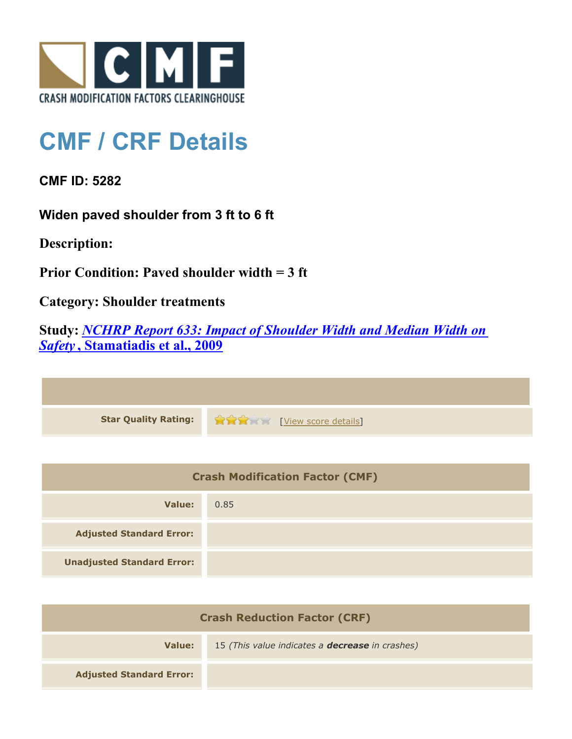

## **CMF / CRF Details**

**CMF ID: 5282**

**Widen paved shoulder from 3 ft to 6 ft**

**Description:** 

**Prior Condition: Paved shoulder width = 3 ft**

**Category: Shoulder treatments**

**Study:** *[NCHRP Report 633: Impact of Shoulder Width and Median Width on](http://www.cmfclearinghouse.org/study_detail.cfm?stid=333) [Safety](http://www.cmfclearinghouse.org/study_detail.cfm?stid=333)* **[, Stamatiadis et al., 2009](http://www.cmfclearinghouse.org/study_detail.cfm?stid=333)**

| Star Quality Rating: 19 20 20 [View score details] |
|----------------------------------------------------|

| <b>Crash Modification Factor (CMF)</b> |      |
|----------------------------------------|------|
| Value:                                 | 0.85 |
| <b>Adjusted Standard Error:</b>        |      |
| <b>Unadjusted Standard Error:</b>      |      |

| <b>Crash Reduction Factor (CRF)</b> |                                                        |
|-------------------------------------|--------------------------------------------------------|
| Value:                              | 15 (This value indicates a <b>decrease</b> in crashes) |
| <b>Adjusted Standard Error:</b>     |                                                        |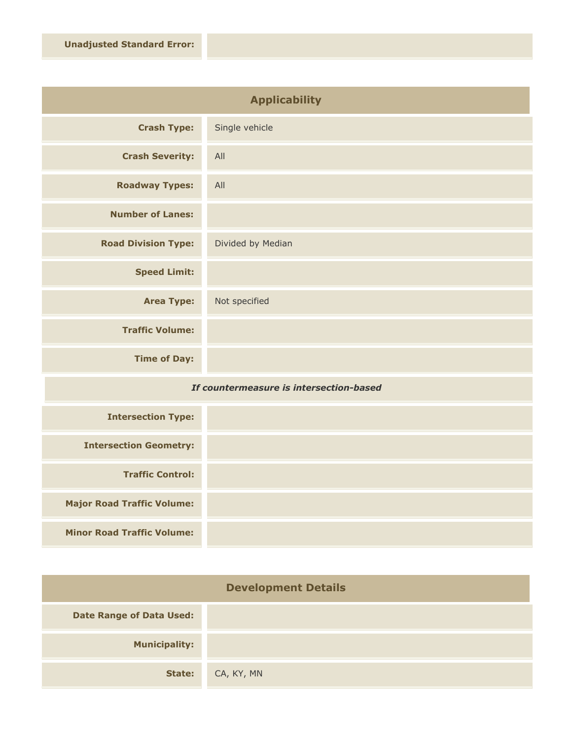| <b>Applicability</b>       |                   |
|----------------------------|-------------------|
| <b>Crash Type:</b>         | Single vehicle    |
| <b>Crash Severity:</b>     | All               |
| <b>Roadway Types:</b>      | All               |
| <b>Number of Lanes:</b>    |                   |
| <b>Road Division Type:</b> | Divided by Median |
| <b>Speed Limit:</b>        |                   |
| <b>Area Type:</b>          | Not specified     |
| <b>Traffic Volume:</b>     |                   |
| <b>Time of Day:</b>        |                   |
| .<br>$-1$                  |                   |

## *If countermeasure is intersection-based*

| <b>Intersection Type:</b>         |  |
|-----------------------------------|--|
| <b>Intersection Geometry:</b>     |  |
| <b>Traffic Control:</b>           |  |
| <b>Major Road Traffic Volume:</b> |  |
| <b>Minor Road Traffic Volume:</b> |  |

| <b>Development Details</b>      |            |
|---------------------------------|------------|
| <b>Date Range of Data Used:</b> |            |
| <b>Municipality:</b>            |            |
| State:                          | CA, KY, MN |